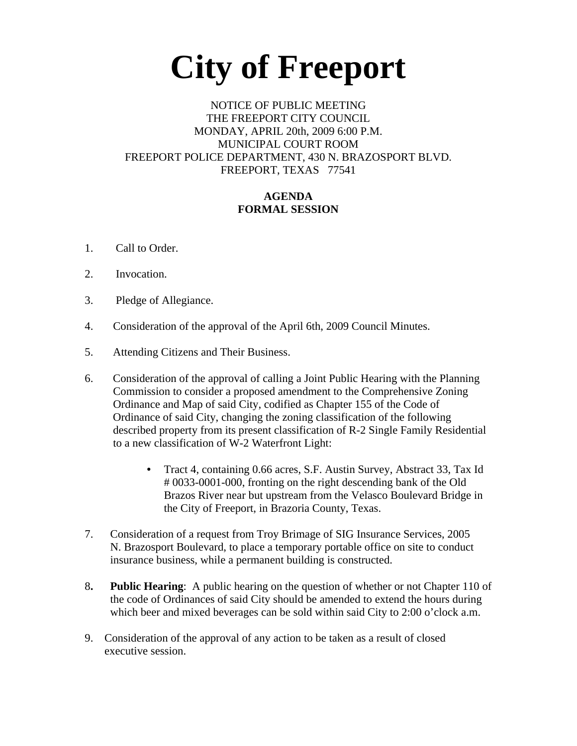# **City of Freeport**

### NOTICE OF PUBLIC MEETING THE FREEPORT CITY COUNCIL MONDAY, APRIL 20th, 2009 6:00 P.M. MUNICIPAL COURT ROOM FREEPORT POLICE DEPARTMENT, 430 N. BRAZOSPORT BLVD. FREEPORT, TEXAS 77541

# **AGENDA FORMAL SESSION**

- 1. Call to Order.
- 2. Invocation.
- 3. Pledge of Allegiance.
- 4. Consideration of the approval of the April 6th, 2009 Council Minutes.
- 5. Attending Citizens and Their Business.
- 6. Consideration of the approval of calling a Joint Public Hearing with the Planning Commission to consider a proposed amendment to the Comprehensive Zoning Ordinance and Map of said City, codified as Chapter 155 of the Code of Ordinance of said City, changing the zoning classification of the following described property from its present classification of R-2 Single Family Residential to a new classification of W-2 Waterfront Light:
	- Tract 4, containing 0.66 acres, S.F. Austin Survey, Abstract 33, Tax Id # 0033-0001-000, fronting on the right descending bank of the Old Brazos River near but upstream from the Velasco Boulevard Bridge in the City of Freeport, in Brazoria County, Texas.
- 7. Consideration of a request from Troy Brimage of SIG Insurance Services, 2005 N. Brazosport Boulevard, to place a temporary portable office on site to conduct insurance business, while a permanent building is constructed.
- 8**. Public Hearing**: A public hearing on the question of whether or not Chapter 110 of the code of Ordinances of said City should be amended to extend the hours during which beer and mixed beverages can be sold within said City to 2:00 o'clock a.m.
- 9. Consideration of the approval of any action to be taken as a result of closed executive session.